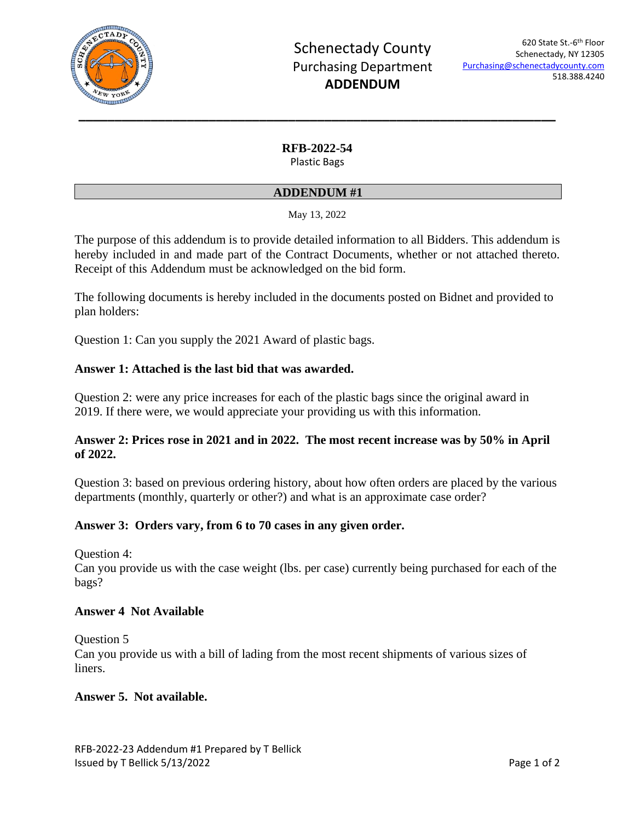

## **RFB-2022-54**

Plastic Bags

#### **ADDENDUM #1**

May 13, 2022

The purpose of this addendum is to provide detailed information to all Bidders. This addendum is hereby included in and made part of the Contract Documents, whether or not attached thereto. Receipt of this Addendum must be acknowledged on the bid form.

The following documents is hereby included in the documents posted on Bidnet and provided to plan holders:

Question 1: Can you supply the 2021 Award of plastic bags.

### **Answer 1: Attached is the last bid that was awarded.**

Question 2: were any price increases for each of the plastic bags since the original award in 2019. If there were, we would appreciate your providing us with this information.

## **Answer 2: Prices rose in 2021 and in 2022. The most recent increase was by 50% in April of 2022.**

Question 3: based on previous ordering history, about how often orders are placed by the various departments (monthly, quarterly or other?) and what is an approximate case order?

#### **Answer 3: Orders vary, from 6 to 70 cases in any given order.**

Question 4:

Can you provide us with the case weight (lbs. per case) currently being purchased for each of the bags?

#### **Answer 4 Not Available**

Question 5 Can you provide us with a bill of lading from the most recent shipments of various sizes of liners.

#### **Answer 5. Not available.**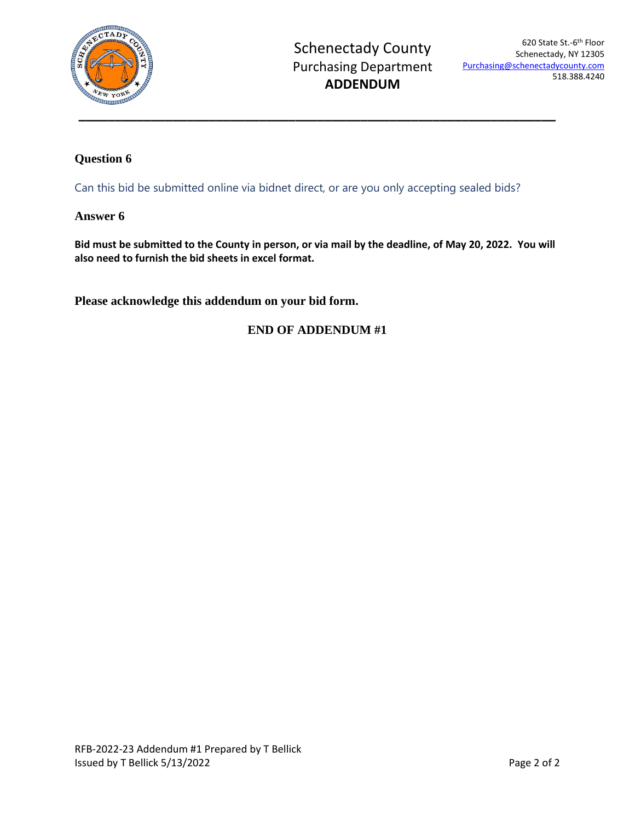

# **Question 6**

Can this bid be submitted online via bidnet direct, or are you only accepting sealed bids?

#### **Answer 6**

**Bid must be submitted to the County in person, or via mail by the deadline, of May 20, 2022. You will also need to furnish the bid sheets in excel format.**

**Please acknowledge this addendum on your bid form.**

## **END OF ADDENDUM #1**